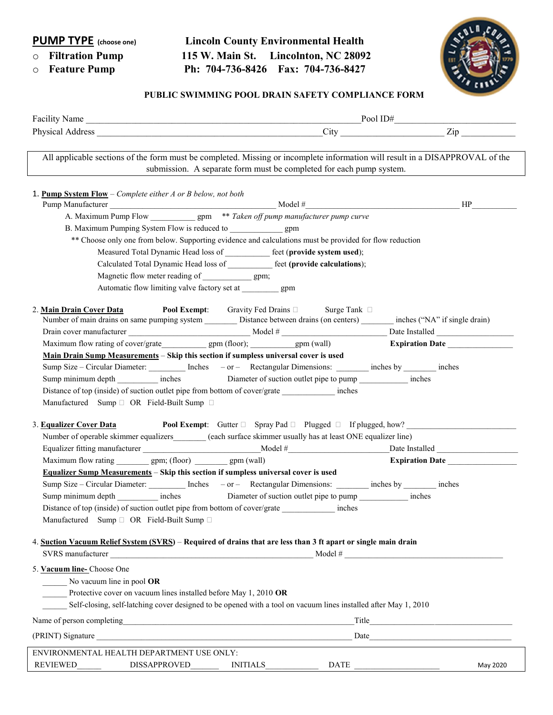## PUMP TYPE (choose one) Lincoln County Environmental Health o Filtration Pump 115 W. Main St. Lincolnton, NC 28092 o Feature Pump Ph: 704-736-8426 Fax: 704-736-8427



## PUBLIC SWIMMING POOL DRAIN SAFETY COMPLIANCE FORM

| Facility Name Pool ID# Pool ID + Pool ID + Pool ID + Pool ID + Pool ID + Pool ID + Pool ID + Pool ID + Pool ID + Pool ID + Pool ID + Pool ID + Pool ID + Pool ID + Pool ID + Pool ID + Pool ID + Pool ID + Pool ID + Pool ID +    |                                                                                                                                                                                                                                |
|-----------------------------------------------------------------------------------------------------------------------------------------------------------------------------------------------------------------------------------|--------------------------------------------------------------------------------------------------------------------------------------------------------------------------------------------------------------------------------|
|                                                                                                                                                                                                                                   |                                                                                                                                                                                                                                |
| All applicable sections of the form must be completed. Missing or incomplete information will result in a DISAPPROVAL of the                                                                                                      | submission. A separate form must be completed for each pump system.                                                                                                                                                            |
| <b>1. Pump System Flow</b> – Complete either $A$ or $B$ below, not both                                                                                                                                                           | HP                                                                                                                                                                                                                             |
|                                                                                                                                                                                                                                   |                                                                                                                                                                                                                                |
|                                                                                                                                                                                                                                   |                                                                                                                                                                                                                                |
| ** Choose only one from below. Supporting evidence and calculations must be provided for flow reduction                                                                                                                           |                                                                                                                                                                                                                                |
| Measured Total Dynamic Head loss of ___________ feet (provide system used);                                                                                                                                                       |                                                                                                                                                                                                                                |
| Calculated Total Dynamic Head loss of __________ feet (provide calculations);<br>Magnetic flow meter reading of ______________ gpm;                                                                                               |                                                                                                                                                                                                                                |
| Automatic flow limiting valve factory set at gpm                                                                                                                                                                                  |                                                                                                                                                                                                                                |
|                                                                                                                                                                                                                                   |                                                                                                                                                                                                                                |
| <b>Pool Exempt:</b> Gravity Fed Drains $\Box$ Surge Tank $\Box$<br>2. Main Drain Cover Data<br>Number of main drains on same pumping system _________ Distance between drains (on centers) ________ inches ("NA" if single drain) |                                                                                                                                                                                                                                |
|                                                                                                                                                                                                                                   |                                                                                                                                                                                                                                |
| Maximum flow rating of cover/grate gpm (floor); gpm (wall) Expiration Date                                                                                                                                                        |                                                                                                                                                                                                                                |
| <u>Main Drain Sump Measurements</u> - Skip this section if sumpless universal cover is used<br>Sump Size – Circular Diameter: Inches – or – Rectangular Dimensions: inches by inches                                              |                                                                                                                                                                                                                                |
| Sump minimum depth inches Diameter of suction outlet pipe to pump inches                                                                                                                                                          |                                                                                                                                                                                                                                |
| Distance of top (inside) of suction outlet pipe from bottom of cover/grate inches                                                                                                                                                 |                                                                                                                                                                                                                                |
| Manufactured Sump D OR Field-Built Sump D                                                                                                                                                                                         |                                                                                                                                                                                                                                |
| 3. Equalizer Cover Data                                                                                                                                                                                                           | <b>Pool Exempt:</b> Gutter $\Box$ Spray Pad $\Box$ Plugged $\Box$ If plugged, how?                                                                                                                                             |
| Number of operable skimmer equalizers (each surface skimmer usually has at least ONE equalizer line)                                                                                                                              |                                                                                                                                                                                                                                |
| Equalizer fitting manufacturer and the set of the Model # The Date Installed Date Installed                                                                                                                                       |                                                                                                                                                                                                                                |
| Maximum flow rating ___________ gpm; (floor) __________ gpm (wall)                                                                                                                                                                | Expiration Date                                                                                                                                                                                                                |
| Equalizer Sump Measurements - Skip this section if sumpless universal cover is used                                                                                                                                               |                                                                                                                                                                                                                                |
| Sump Size – Circular Diameter: Inches – or – Rectangular Dimensions: inches by inches                                                                                                                                             |                                                                                                                                                                                                                                |
| Sump minimum depth inches Diameter of suction outlet pipe to pump ____________ inches                                                                                                                                             |                                                                                                                                                                                                                                |
| Distance of top (inside) of suction outlet pipe from bottom of cover/grate _____________ inches                                                                                                                                   |                                                                                                                                                                                                                                |
| Manufactured Sump <sup>O</sup> OR Field-Built Sump <sup>O</sup>                                                                                                                                                                   |                                                                                                                                                                                                                                |
| 4. Suction Vacuum Relief System (SVRS) - Required of drains that are less than 3 ft apart or single main drain                                                                                                                    |                                                                                                                                                                                                                                |
|                                                                                                                                                                                                                                   |                                                                                                                                                                                                                                |
| 5. Vacuum line- Choose One<br>No vacuum line in pool OR                                                                                                                                                                           |                                                                                                                                                                                                                                |
| Protective cover on vacuum lines installed before May 1, 2010 OR                                                                                                                                                                  |                                                                                                                                                                                                                                |
| Self-closing, self-latching cover designed to be opened with a tool on vacuum lines installed after May 1, 2010                                                                                                                   |                                                                                                                                                                                                                                |
|                                                                                                                                                                                                                                   |                                                                                                                                                                                                                                |
| Name of person completing<br><u>examples</u>                                                                                                                                                                                      |                                                                                                                                                                                                                                |
|                                                                                                                                                                                                                                   | Date and the contract of the contract of the contract of the contract of the contract of the contract of the contract of the contract of the contract of the contract of the contract of the contract of the contract of the c |
| ENVIRONMENTAL HEALTH DEPARTMENT USE ONLY:                                                                                                                                                                                         |                                                                                                                                                                                                                                |
| <b>REVIEWED</b><br>DISSAPPROVED<br><b>INITIALS</b>                                                                                                                                                                                | DATE<br>May 2020                                                                                                                                                                                                               |